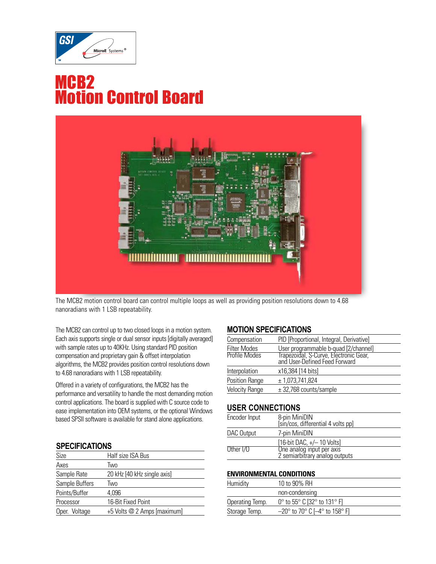

# MCB2 Motion Control Board



The MCB2 motion control board can control multiple loops as well as providing position resolutions down to 4.68 nanoradians with 1 LSB repeatability.

The MCB2 can control up to two closed loops in a motion system. Each axis supports single or dual sensor inputs [digitally averaged] with sample rates up to 40KHz. Using standard PID position compensation and proprietary gain & offset interpolation algorithms, the MCB2 provides position control resolutions down to 4.68 nanoradians with 1 LSB repeatability.

Offered in a variety of configurations, the MCB2 has the performance and versatility to handle the most demanding motion control applications. The board is supplied with C source code to ease implementation into OEM systems, or the optional Windows based SPSII software is available for stand alone applications.

#### **SPECIFICATIONS**

| Size           | Half size ISA Bus           |
|----------------|-----------------------------|
| Axes           | Two                         |
| Sample Rate    | 20 kHz [40 kHz single axis] |
| Sample Buffers | Two                         |
| Points/Buffer  | 4.096                       |
| Processor      | 16-Bit Fixed Point          |
| Oper. Voltage  | +5 Volts @ 2 Amps [maximum] |

### **MOTION SPECIFICATIONS**

| Compensation          | PID [Proportional, Integral, Derivative]                                                                        |
|-----------------------|-----------------------------------------------------------------------------------------------------------------|
| <b>Filter Modes</b>   |                                                                                                                 |
| Profile Modes         | User programmable b-quad [2/channel]<br>Trapezoidal, S-Curve, Electronic Gear,<br>and User-Defined Feed Forward |
| Interpolation         | x16,384 [14 bits]                                                                                               |
| Position Range        | ± 1,073,741,824                                                                                                 |
| <b>Velocity Range</b> | $\pm$ 32,768 counts/sample                                                                                      |
|                       |                                                                                                                 |

#### **USER CONNECTIONS**

| Encoder Input | 8-pin MiniDIN<br>[sin/cos, differential 4 volts pp]         |
|---------------|-------------------------------------------------------------|
| DAC Output    | 7-pin MiniDIN                                               |
|               | $[16-bit DAC, +/- 10 Volts]$                                |
| Other I/O     | One analog input per axis<br>2 semiarbitrary analog outputs |

#### **ENVIRONMENTAL CONDITIONS**

| Humidity        | 10 to 90% RH                                                 |
|-----------------|--------------------------------------------------------------|
|                 | non-condensing                                               |
| Operating Temp. | 0° to 55° C [32° to 131° F]                                  |
| Storage Temp.   | $-20^\circ$ to 70 $^\circ$ C [ $-4^\circ$ to 158 $^\circ$ F] |